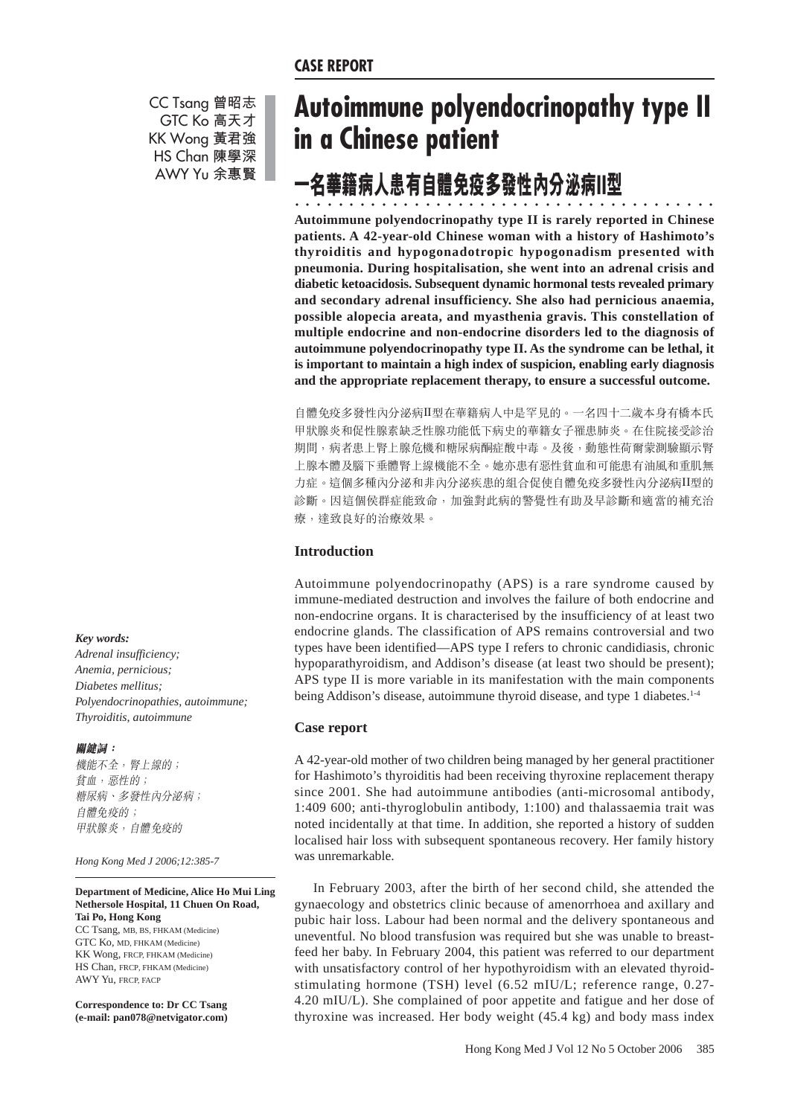CC Tsang 曾昭志 GTC Ko 高天才 KK Wong 黃君強 HS Chan 陳學深 AWY Yu 余惠賢

# **Autoimmune polyendocrinopathy type II in a Chinese patient**

## -7 華籍病人患有自體免疫多發性內分泌病II型

○○○ ○○○○○○○○○○○○○○○○○○○○○○○○○○○○○○○○○○○○ **Autoimmune polyendocrinopathy type II is rarely reported in Chinese patients. A 42-year-old Chinese woman with a history of Hashimoto's thyroiditis and hypogonadotropic hypogonadism presented with pneumonia. During hospitalisation, she went into an adrenal crisis and diabetic ketoacidosis. Subsequent dynamic hormonal tests revealed primary and secondary adrenal insufficiency. She also had pernicious anaemia, possible alopecia areata, and myasthenia gravis. This constellation of multiple endocrine and non-endocrine disorders led to the diagnosis of autoimmune polyendocrinopathy type II. As the syndrome can be lethal, it is important to maintain a high index of suspicion, enabling early diagnosis and the appropriate replacement therapy, to ensure a successful outcome.**

自體免疫多發性內分泌病II型在華籍病人中是罕見的。一名四十二歲本身有橋本氏 甲狀腺炎和促性腺素缺乏性腺功能低下病史的華籍女子罹患肺炎。在住院接受診治 期間,病者患上腎上腺危機和糖尿病酮症酸中毒。及後,動態性荷爾蒙測驗顯示腎 上腺本體及腦下垂體腎上線機能不全。她亦患有惡性貧血和可能患有油風和重肌無 力症。這個多種內分泌和非內分泌疾患的組合促使自體免疫多發性內分泌病II型的 診斷。因這個侯群症能致命,加強對此病的警覺性有助及早診斷和適當的補充治 療,達致良好的治療效果。

# **Introduction**

Autoimmune polyendocrinopathy (APS) is a rare syndrome caused by immune-mediated destruction and involves the failure of both endocrine and non-endocrine organs. It is characterised by the insufficiency of at least two endocrine glands. The classification of APS remains controversial and two types have been identified—APS type I refers to chronic candidiasis, chronic hypoparathyroidism, and Addison's disease (at least two should be present); APS type II is more variable in its manifestation with the main components being Addison's disease, autoimmune thyroid disease, and type 1 diabetes.<sup>1-4</sup>

## **Case report**

A 42-year-old mother of two children being managed by her general practitioner for Hashimoto's thyroiditis had been receiving thyroxine replacement therapy since 2001. She had autoimmune antibodies (anti-microsomal antibody, 1:409 600; anti-thyroglobulin antibody, 1:100) and thalassaemia trait was noted incidentally at that time. In addition, she reported a history of sudden localised hair loss with subsequent spontaneous recovery. Her family history was unremarkable.

In February 2003, after the birth of her second child, she attended the gynaecology and obstetrics clinic because of amenorrhoea and axillary and pubic hair loss. Labour had been normal and the delivery spontaneous and uneventful. No blood transfusion was required but she was unable to breastfeed her baby. In February 2004, this patient was referred to our department with unsatisfactory control of her hypothyroidism with an elevated thyroidstimulating hormone (TSH) level (6.52 mIU/L; reference range, 0.27- 4.20 mIU/L). She complained of poor appetite and fatigue and her dose of thyroxine was increased. Her body weight (45.4 kg) and body mass index

*Key words:*

*Adrenal insufficiency; Anemia, pernicious; Diabetes mellitus; Polyendocrinopathies, autoimmune; Thyroiditis, autoimmune*

## 關鍵詞:

機能不全, 腎上線的; 貧血,惡性的; 糖尿病、多發性內分泌病; 自體免疫的; 甲狀腺炎,自體免疫的

*Hong Kong Med J 2006;12:385-7*

## **Department of Medicine, Alice Ho Mui Ling Nethersole Hospital, 11 Chuen On Road, Tai Po, Hong Kong**

CC Tsang, MB, BS, FHKAM (Medicine) GTC Ko, MD, FHKAM (Medicine) KK Wong, FRCP, FHKAM (Medicine) HS Chan, FRCP, FHKAM (Medicine) AWY Yu, FRCP, FACP

**Correspondence to: Dr CC Tsang (e-mail: pan078@netvigator.com)**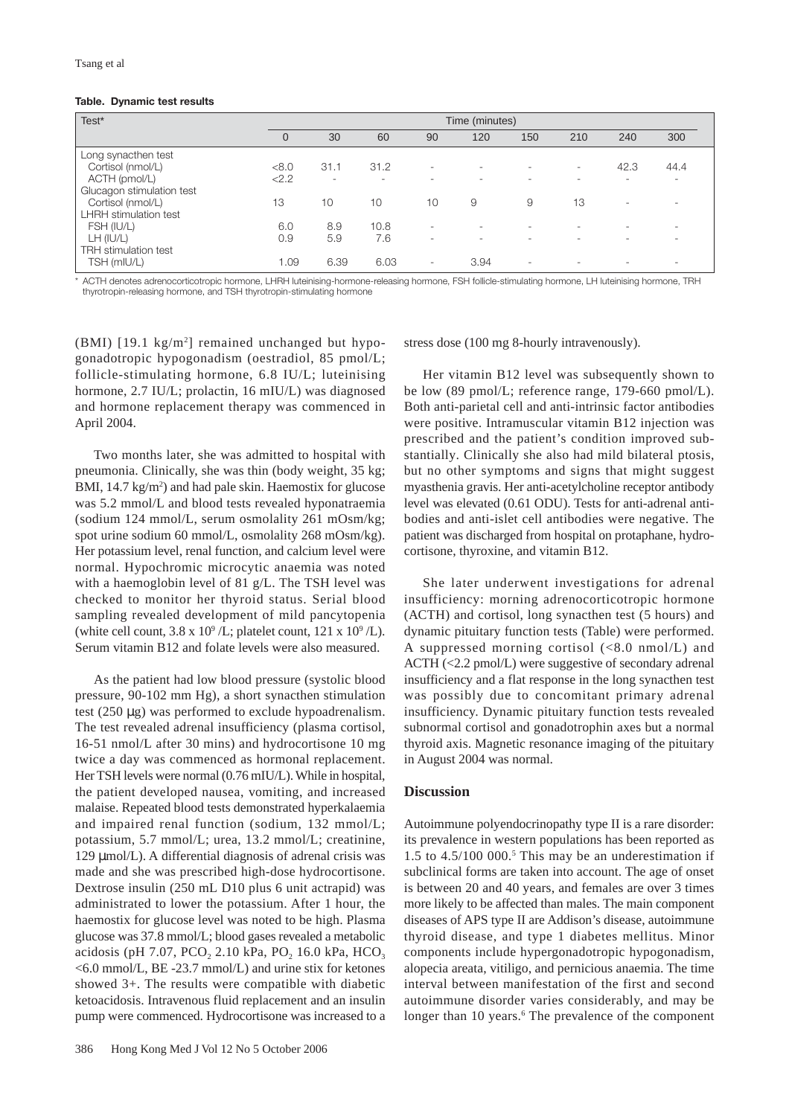## **Table. Dynamic test results**

| Test*                        | Time (minutes) |                          |      |                          |                          |     |     |                          |                          |
|------------------------------|----------------|--------------------------|------|--------------------------|--------------------------|-----|-----|--------------------------|--------------------------|
|                              | $\mathbf 0$    | 30                       | 60   | 90                       | 120                      | 150 | 210 | 240                      | 300                      |
| Long synacthen test          |                |                          |      |                          |                          |     |     |                          |                          |
| Cortisol (nmol/L)            | < 8.0          | 31.1                     | 31.2 |                          | ۰                        | ۰   | ۰.  | 42.3                     | 44.4                     |
| ACTH (pmol/L)                | < 2.2          | $\overline{\phantom{a}}$ | ۰    |                          | ۰                        | ۰   |     | $\overline{\phantom{a}}$ | $\overline{\phantom{a}}$ |
| Glucagon stimulation test    |                |                          |      |                          |                          |     |     |                          |                          |
| Cortisol (nmol/L)            | 13             | 10                       | 10   | 10                       | 9                        | 9   | 13  | $\overline{\phantom{a}}$ | $\overline{\phantom{a}}$ |
| <b>LHRH</b> stimulation test |                |                          |      |                          |                          |     |     |                          |                          |
| FSH (IU/L)                   | 6.0            | 8.9                      | 10.8 |                          | $\overline{\phantom{a}}$ | ۰   |     |                          | $\overline{\phantom{a}}$ |
| LH (IU/L)                    | 0.9            | 5.9                      | 7.6  | ۰.                       | $\overline{\phantom{a}}$ | . . |     | $\sim$                   | $\overline{\phantom{a}}$ |
| <b>TRH</b> stimulation test  |                |                          |      |                          |                          |     |     |                          |                          |
| TSH (mIU/L)                  | 1.09           | 6.39                     | 6.03 | $\overline{\phantom{a}}$ | 3.94                     | ۰   | ۰   | $\overline{\phantom{a}}$ | $\overline{\phantom{a}}$ |

\* ACTH denotes adrenocorticotropic hormone, LHRH luteinising-hormone-releasing hormone, FSH follicle-stimulating hormone, LH luteinising hormone, TRH thyrotropin-releasing hormone, and TSH thyrotropin-stimulating hormone

 $(BMI)$  [19.1 kg/m<sup>2</sup>] remained unchanged but hypogonadotropic hypogonadism (oestradiol, 85 pmol/L; follicle-stimulating hormone, 6.8 IU/L; luteinising hormone, 2.7 IU/L; prolactin, 16 mIU/L) was diagnosed and hormone replacement therapy was commenced in April 2004.

Two months later, she was admitted to hospital with pneumonia. Clinically, she was thin (body weight, 35 kg; BMI, 14.7 kg/m<sup>2</sup>) and had pale skin. Haemostix for glucose was 5.2 mmol/L and blood tests revealed hyponatraemia (sodium 124 mmol/L, serum osmolality 261 mOsm/kg; spot urine sodium 60 mmol/L, osmolality 268 mOsm/kg). Her potassium level, renal function, and calcium level were normal. Hypochromic microcytic anaemia was noted with a haemoglobin level of 81 g/L. The TSH level was checked to monitor her thyroid status. Serial blood sampling revealed development of mild pancytopenia (white cell count,  $3.8 \times 10^9$  /L; platelet count,  $121 \times 10^9$  /L). Serum vitamin B12 and folate levels were also measured.

As the patient had low blood pressure (systolic blood pressure, 90-102 mm Hg), a short synacthen stimulation test (250 µg) was performed to exclude hypoadrenalism. The test revealed adrenal insufficiency (plasma cortisol, 16-51 nmol/L after 30 mins) and hydrocortisone 10 mg twice a day was commenced as hormonal replacement. Her TSH levels were normal (0.76 mIU/L). While in hospital, the patient developed nausea, vomiting, and increased malaise. Repeated blood tests demonstrated hyperkalaemia and impaired renal function (sodium, 132 mmol/L; potassium, 5.7 mmol/L; urea, 13.2 mmol/L; creatinine, 129  $\mu$ mol/L). A differential diagnosis of adrenal crisis was made and she was prescribed high-dose hydrocortisone. Dextrose insulin (250 mL D10 plus 6 unit actrapid) was administrated to lower the potassium. After 1 hour, the haemostix for glucose level was noted to be high. Plasma glucose was 37.8 mmol/L; blood gases revealed a metabolic acidosis (pH 7.07, PCO<sub>2</sub> 2.10 kPa, PO<sub>2</sub> 16.0 kPa, HCO<sub>3</sub> <6.0 mmol/L, BE -23.7 mmol/L) and urine stix for ketones showed 3+. The results were compatible with diabetic ketoacidosis. Intravenous fluid replacement and an insulin pump were commenced. Hydrocortisone was increased to a stress dose (100 mg 8-hourly intravenously).

Her vitamin B12 level was subsequently shown to be low (89 pmol/L; reference range, 179-660 pmol/L). Both anti-parietal cell and anti-intrinsic factor antibodies were positive. Intramuscular vitamin B12 injection was prescribed and the patient's condition improved substantially. Clinically she also had mild bilateral ptosis, but no other symptoms and signs that might suggest myasthenia gravis. Her anti-acetylcholine receptor antibody level was elevated (0.61 ODU). Tests for anti-adrenal antibodies and anti-islet cell antibodies were negative. The patient was discharged from hospital on protaphane, hydrocortisone, thyroxine, and vitamin B12.

She later underwent investigations for adrenal insufficiency: morning adrenocorticotropic hormone (ACTH) and cortisol, long synacthen test (5 hours) and dynamic pituitary function tests (Table) were performed. A suppressed morning cortisol (<8.0 nmol/L) and ACTH (<2.2 pmol/L) were suggestive of secondary adrenal insufficiency and a flat response in the long synacthen test was possibly due to concomitant primary adrenal insufficiency. Dynamic pituitary function tests revealed subnormal cortisol and gonadotrophin axes but a normal thyroid axis. Magnetic resonance imaging of the pituitary in August 2004 was normal.

## **Discussion**

Autoimmune polyendocrinopathy type II is a rare disorder: its prevalence in western populations has been reported as 1.5 to  $4.5/100$  000.<sup>5</sup> This may be an underestimation if subclinical forms are taken into account. The age of onset is between 20 and 40 years, and females are over 3 times more likely to be affected than males. The main component diseases of APS type II are Addison's disease, autoimmune thyroid disease, and type 1 diabetes mellitus. Minor components include hypergonadotropic hypogonadism, alopecia areata, vitiligo, and pernicious anaemia. The time interval between manifestation of the first and second autoimmune disorder varies considerably, and may be longer than 10 years.<sup>6</sup> The prevalence of the component